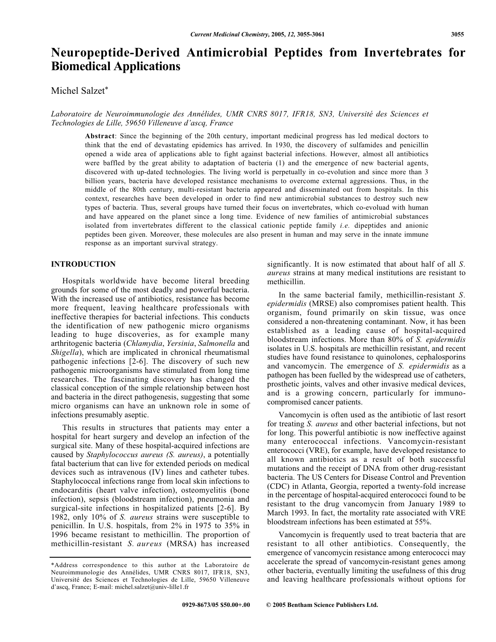# **Neuropeptide-Derived Antimicrobial Peptides from Invertebrates for Biomedical Applications**

Michel Salzet\*

# *Laboratoire de Neuroimmunologie des Annélides, UMR CNRS 8017, IFR18, SN3, Université des Sciences et Technologies de Lille, 59650 Villeneuve d'ascq, France*

**Abstract**: Since the beginning of the 20th century, important medicinal progress has led medical doctors to think that the end of devastating epidemics has arrived. In 1930, the discovery of sulfamides and penicillin opened a wide area of applications able to fight against bacterial infections. However, almost all antibiotics were baffled by the great ability to adaptation of bacteria (1) and the emergence of new bacterial agents, discovered with up-dated technologies. The living world is perpetually in co-evolution and since more than 3 billion years, bacteria have developed resistance mechanisms to overcome external aggressions. Thus, in the middle of the 80th century, multi-resistant bacteria appeared and disseminated out from hospitals. In this context, researches have been developed in order to find new antimicrobial substances to destroy such new types of bacteria. Thus, several groups have turned their focus on invertebrates, which co-evoluad with human and have appeared on the planet since a long time. Evidence of new families of antimicrobial substances isolated from invertebrates different to the classical cationic peptide family *i.e.* dipeptides and anionic peptides been given. Moreover, these molecules are also present in human and may serve in the innate immune response as an important survival strategy.

# **INTRODUCTION**

Hospitals worldwide have become literal breeding grounds for some of the most deadly and powerful bacteria. With the increased use of antibiotics, resistance has become more frequent, leaving healthcare professionals with ineffective therapies for bacterial infections. This conducts the identification of new pathogenic micro organisms leading to huge discoveries, as for example many arthritogenic bacteria (*Chlamydia*, *Yersinia*, *Salmonella* and *Shigella*), which are implicated in chronical rheumatismal pathogenic infections [2-6]. The discovery of such new pathogenic microorganisms have stimulated from long time researches. The fascinating discovery has changed the classical conception of the simple relationship between host and bacteria in the direct pathogenesis, suggesting that some micro organisms can have an unknown role in some of infections presumably aseptic.

This results in structures that patients may enter a hospital for heart surgery and develop an infection of the surgical site. Many of these hospital-acquired infections are caused by *Staphylococcus aureus (S. aureus)*, a potentially fatal bacterium that can live for extended periods on medical devices such as intravenous (IV) lines and catheter tubes. Staphylococcal infections range from local skin infections to endocarditis (heart valve infection), osteomyelitis (bone infection), sepsis (bloodstream infection), pneumonia and surgical-site infections in hospitalized patients [2-6]. By 1982, only 10% of *S. aureus* strains were susceptible to penicillin. In U.S. hospitals, from 2% in 1975 to 35% in 1996 became resistant to methicillin. The proportion of methicillin-resistant *S. aureus* (MRSA) has increased

significantly. It is now estimated that about half of all *S. aureus* strains at many medical institutions are resistant to methicillin.

In the same bacterial family, methicillin-resistant *S. epidermidis* (MRSE) also compromises patient health. This organism, found primarily on skin tissue, was once considered a non-threatening contaminant. Now, it has been established as a leading cause of hospital-acquired bloodstream infections. More than 80% of *S. epidermidis* isolates in U.S. hospitals are methicillin resistant, and recent studies have found resistance to quinolones, cephalosporins and vancomycin. The emergence of *S. epidermidis* as a pathogen has been fuelled by the widespread use of catheters, prosthetic joints, valves and other invasive medical devices, and is a growing concern, particularly for immunocompromised cancer patients.

Vancomycin is often used as the antibiotic of last resort for treating *S. aureus* and other bacterial infections, but not for long. This powerful antibiotic is now ineffective against many enterococcal infections. Vancomycin-resistant enterococci (VRE), for example, have developed resistance to all known antibiotics as a result of both successful mutations and the receipt of DNA from other drug-resistant bacteria. The US Centers for Disease Control and Prevention (CDC) in Atlanta, Georgia, reported a twenty-fold increase in the percentage of hospital-acquired enterococci found to be resistant to the drug vancomycin from January 1989 to March 1993. In fact, the mortality rate associated with VRE bloodstream infections has been estimated at 55%.

Vancomycin is frequently used to treat bacteria that are resistant to all other antibiotics. Consequently, the emergence of vancomycin resistance among enterococci may accelerate the spread of vancomycin-resistant genes among other bacteria, eventually limiting the usefulness of this drug and leaving healthcare professionals without options for

<sup>\*</sup>Address correspondence to this author at the Laboratoire de Neuroimmunologie des Annélides, UMR CNRS 8017, IFR18, SN3, Université des Sciences et Technologies de Lille, 59650 Villeneuve d'ascq, France; E-mail: michel.salzet@univ-lille1.fr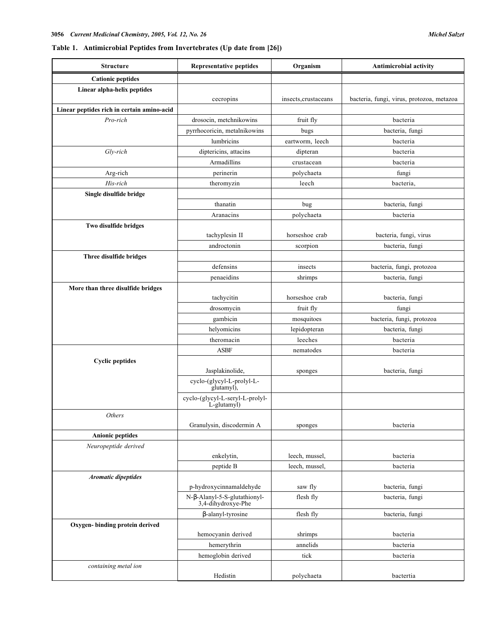# **Table 1. Antimicrobial Peptides from Invertebrates (Up date from [26])**

| <b>Structure</b>                           | <b>Representative peptides</b>                     | Organism             | Antimicrobial activity                    |
|--------------------------------------------|----------------------------------------------------|----------------------|-------------------------------------------|
| <b>Cationic peptides</b>                   |                                                    |                      |                                           |
| Linear alpha-helix peptides                |                                                    |                      |                                           |
|                                            | cecropins                                          | insects, crustaceans | bacteria, fungi, virus, protozoa, metazoa |
| Linear peptides rich in certain amino-acid |                                                    |                      |                                           |
| Pro-rich                                   | drosocin, metchnikowins                            | fruit fly            | bacteria                                  |
|                                            | pyrrhocoricin, metalnikowins                       | bugs                 | bacteria, fungi                           |
|                                            | lumbricins                                         | eartworm, leech      | bacteria                                  |
| Gly-rich                                   | diptericins, attacins                              | dipteran             | bacteria                                  |
|                                            | Armadillins                                        | crustacean           | bacteria                                  |
| Arg-rich                                   | perinerin                                          | polychaeta           | fungi                                     |
| His-rich                                   | theromyzin                                         | leech                | bacteria,                                 |
| Single disulfide bridge                    |                                                    |                      |                                           |
|                                            | thanatin                                           | bug                  | bacteria, fungi                           |
|                                            | Aranacins                                          | polychaeta           | bacteria                                  |
| Two disulfide bridges                      |                                                    |                      |                                           |
|                                            | tachyplesin II                                     | horseshoe crab       | bacteria, fungi, virus                    |
|                                            | androctonin                                        | scorpion             | bacteria, fungi                           |
| Three disulfide bridges                    |                                                    |                      |                                           |
|                                            | defensins                                          | insects              | bacteria, fungi, protozoa                 |
|                                            | penaeidins                                         | shrimps              | bacteria, fungi                           |
| More than three disulfide bridges          |                                                    |                      |                                           |
|                                            | tachycitin                                         | horseshoe crab       | bacteria, fungi                           |
|                                            | drosomycin                                         | fruit fly            | fungi                                     |
|                                            | gambicin                                           | mosquitoes           | bacteria, fungi, protozoa                 |
|                                            | helyomicins                                        | lepidopteran         | bacteria, fungi                           |
|                                            | theromacin                                         | leeches              | bacteria                                  |
|                                            | <b>ASBF</b>                                        | nematodes            | bacteria                                  |
| <b>Cyclic peptides</b>                     |                                                    |                      |                                           |
|                                            | Jasplakinolide,                                    | sponges              | bacteria, fungi                           |
|                                            | cyclo-(glycyl-L-prolyl-L-<br>glutamyl),            |                      |                                           |
|                                            | cyclo-(glycyl-L-seryl-L-prolyl-<br>L-glutamyl)     |                      |                                           |
| <b>Others</b>                              |                                                    |                      |                                           |
|                                            | Granulysin, discodermin A                          | sponges              | bacteria                                  |
| <b>Anionic peptides</b>                    |                                                    |                      |                                           |
| Neuropeptide derived                       |                                                    |                      |                                           |
|                                            | enkelytin,                                         | leech, mussel,       | bacteria                                  |
|                                            | peptide B                                          | leech, mussel,       | bacteria                                  |
| <b>Aromatic dipeptides</b>                 |                                                    |                      |                                           |
|                                            | p-hydroxycinnamaldehyde                            | saw fly              | bacteria, fungi                           |
|                                            | N-β-Alanyl-5-S-glutathionyl-<br>3,4-dihydroxye-Phe | flesh fly            | bacteria, fungi                           |
|                                            | <b>B-alanyl-tyrosine</b>                           | flesh fly            | bacteria, fungi                           |
| Oxygen-binding protein derived             |                                                    |                      |                                           |
|                                            | hemocyanin derived                                 | shrimps              | bacteria                                  |
|                                            | hemerythrin                                        | annelids             | bacteria                                  |
|                                            | hemoglobin derived                                 | tick                 | bacteria                                  |
| containing metal ion                       |                                                    |                      |                                           |
|                                            | Hedistin                                           | polychaeta           | bactertia                                 |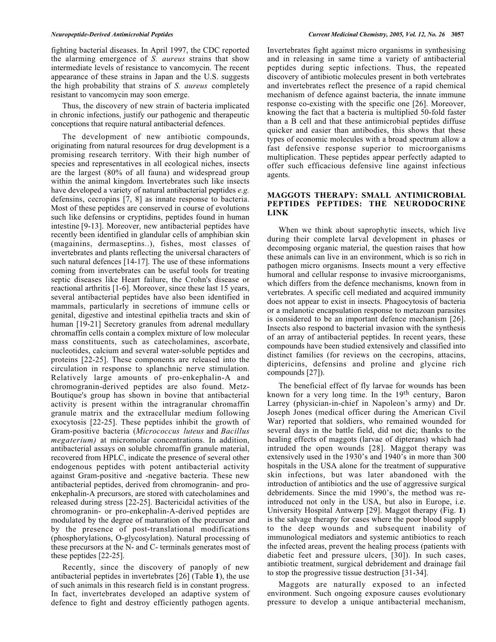fighting bacterial diseases. In April 1997, the CDC reported the alarming emergence of *S. aureus* strains that show intermediate levels of resistance to vancomycin. The recent appearance of these strains in Japan and the U.S. suggests the high probability that strains of *S. aureus* completely resistant to vancomycin may soon emerge.

Thus, the discovery of new strain of bacteria implicated in chronic infections, justify our pathogenic and therapeutic conceptions that require natural antibacterial defences.

The development of new antibiotic compounds, originating from natural resources for drug development is a promising research territory. With their high number of species and representatives in all ecological niches, insects are the largest (80% of all fauna) and widespread group within the animal kingdom*.* Invertebrates such like insects have developed a variety of natural antibacterial peptides *e.g.* defensins, cecropins [7, 8] as innate response to bacteria. Most of these peptides are conserved in course of evolutions such like defensins or cryptidins, peptides found in human intestine [9-13]. Moreover, new antibacterial peptides have recently been identified in glandular cells of amphibian skin (magainins, dermaseptins..), fishes, most classes of invertebrates and plants reflecting the universal characters of such natural defences [14-17]. The use of these informations coming from invertebrates can be useful tools for treating septic diseases like Heart failure, the Crohn's disease or reactional arthritis [1-6]. Moreover, since these last 15 years, several antibacterial peptides have also been identified in mammals, particularly in secretions of immune cells or genital, digestive and intestinal epithelia tracts and skin of human [19-21] Secretory granules from adrenal medullary chromaffin cells contain a complex mixture of low molecular mass constituents, such as catecholamines, ascorbate, nucleotides, calcium and several water-soluble peptides and proteins [22-25]. These components are released into the circulation in response to splanchnic nerve stimulation. Relatively large amounts of pro-enkephalin-A and chromogranin-derived peptides are also found. Metz-Boutique's group has shown in bovine that antibacterial activity is present within the intragranular chromaffin granule matrix and the extracellular medium following exocytosis [22-25]. These peptides inhibit the growth of Gram-positive bacteria (*Micrococcus luteus* and *Bacillus megaterium)* at micromolar concentrations. In addition, antibacterial assays on soluble chromaffin granule material, recovered from HPLC, indicate the presence of several other endogenous peptides with potent antibacterial activity against Gram-positive and -negative bacteria. These new antibacterial peptides, derived from chromogranin- and proenkephalin-A precursors, are stored with catecholamines and released during stress [22-25]. Bactericidal activities of the chromogranin- or pro-enkephalin-A-derived peptides are modulated by the degree of maturation of the precursor and by the presence of post-translational modifications (phosphorylations, O-glycosylation). Natural processing of these precursors at the N- and C- terminals generates most of these peptides [22-25].

Recently, since the discovery of panoply of new antibacterial peptides in invertebrates [26] (Table **1**), the use of such animals in this research field is in constant progress. In fact, invertebrates developed an adaptive system of defence to fight and destroy efficiently pathogen agents.

Invertebrates fight against micro organisms in synthesising and in releasing in same time a variety of antibacterial peptides during septic infections. Thus, the repeated discovery of antibiotic molecules present in both vertebrates and invertebrates reflect the presence of a rapid chemical mechanism of defence against bacteria, the innate immune response co-existing with the specific one [26]. Moreover, knowing the fact that a bacteria is multiplied 50-fold faster than a B cell and that these antimicrobial peptides diffuse quicker and easier than antibodies, this shows that these types of economic molecules with a broad spectrum allow a fast defensive response superior to microorganisms multiplication. These peptides appear perfectly adapted to offer such efficacious defensive line against infectious agents.

# **MAGGOTS THERAPY: SMALL ANTIMICROBIAL PEPTIDES PEPTIDES: THE NEURODOCRINE LINK**

When we think about saprophytic insects, which live during their complete larval development in phases or decomposing organic material, the question raises that how these animals can live in an environment, which is so rich in pathogen micro organisms. Insects mount a very effective humoral and cellular response to invasive microorganisms, which differs from the defence mechanisms, known from in vertebrates. A specific cell mediated and acquired immunity does not appear to exist in insects. Phagocytosis of bacteria or a melanotic encapsulation response to metazoan parasites is considered to be an important defence mechanism [26]. Insects also respond to bacterial invasion with the synthesis of an array of antibacterial peptides. In recent years, these compounds have been studied extensively and classified into distinct families (for reviews on the cecropins, attacins, diptericins, defensins and proline and glycine rich compounds [27]).

The beneficial effect of fly larvae for wounds has been known for a very long time. In the 19th century, Baron Larrey (physician-in-chief in Napoleon's army) and Dr. Joseph Jones (medical officer during the American Civil War) reported that soldiers, who remained wounded for several days in the battle field, did not die; thanks to the healing effects of maggots (larvae of dipterans) which had intruded the open wounds [28]. Maggot therapy was extensively used in the 1930's and 1940's in more than 300 hospitals in the USA alone for the treatment of suppurative skin infections, but was later abandoned with the introduction of antibiotics and the use of aggressive surgical debridements. Since the mid 1990's, the method was reintroduced not only in the USA, but also in Europe, i.e. University Hospital Antwerp [29]. Maggot therapy (Fig. **1**) is the salvage therapy for cases where the poor blood supply to the deep wounds and subsequent inability of immunological mediators and systemic antibiotics to reach the infected areas, prevent the healing process (patients with diabetic feet and pressure ulcers, [30]). In such cases, antibiotic treatment, surgical debridement and drainage fail to stop the progressive tissue destruction [31-34].

Maggots are naturally exposed to an infected environment. Such ongoing exposure causes evolutionary pressure to develop a unique antibacterial mechanism,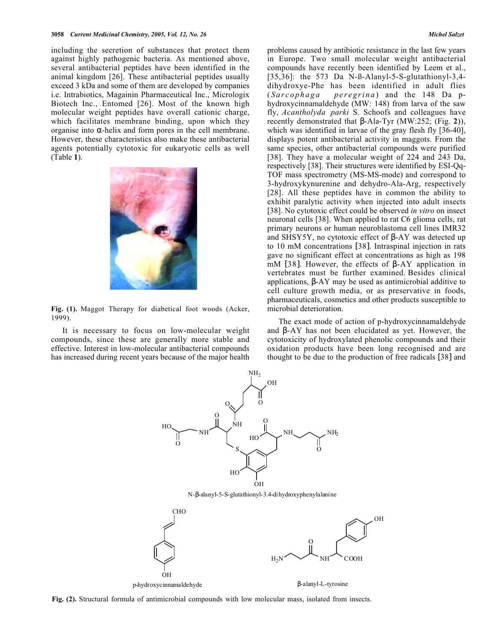including the secretion of substances that protect them against highly pathogenic bacteria. As mentioned above, several antibacterial peptides have been identified in the animal kingdom [26]. These antibacterial peptides usually exceed 3 kDa and some of them are developed by companies i.e. Intrabiotics, Magainin Pharmaceutical Inc., Micrologix Biotech Inc., Entomed [26]. Most of the known high molecular weight peptides have overall cationic charge, which facilitates membrane binding, upon which they organise into α-helix and form pores in the cell membrane. However, these characteristics also make these antibacterial agents potentially cytotoxic for eukaryotic cells as well (Table **1**).



**Fig. (1).** Maggot Therapy for diabetical foot woods (Acker, 1999).

It is necessary to focus on low-molecular weight compounds, since these are generally more stable and effective. Interest in low-molecular antibacterial compounds has increased during recent years because of the major health

problems caused by antibiotic resistance in the last few years in Europe. Two small molecular weight antibacterial compounds have recently been identified by Leem et al., [35,36]: the 573 Da N-ß-Alanyl-5-S-glutathionyl-3,4 dihydroxye-Phe has been identified in adult flies ( *Sarcophaga peregrina* ) and the 148 Da phydroxycinnamaldehyde (MW: 148) from larva of the saw fly, *Acantholyda parki* S. Schoofs and colleagues have recently demonstrated that β-Ala-Tyr (MW:252; (Fig. **2**)), which was identified in larvae of the gray flesh fly [36-40], displays potent antibacterial activity in maggots. From the same species, other antibacterial compounds were purified [38]. They have a molecular weight of 224 and 243 Da, respectively [38]. Their structures were identified by ESI-Qq-TOF mass spectrometry (MS-MS-mode) and correspond to 3-hydroxykynurenine and dehydro-Ala-Arg, respectively [28]. All these peptides have in common the ability to exhibit paralytic activity when injected into adult insects [38]. No cytotoxic effect could be observed *in vitro* on insect neuronal cells [38]. When applied to rat C6 glioma cells, rat primary neurons or human neuroblastoma cell lines IMR32 and SHSY5Y, no cytotoxic effect of  $β$ -AY was detected up to 10 mM concentrations [38]. Intraspinal injection in rats gave no significant effect at concentrations as high as 198 mM [38]. However, the effects of β-AY application in vertebrates must be further examined. Besides clinical applications, β-AY may be used as antimicrobial additive to cell culture growth media, or as preservative in foods, pharmaceuticals, cosmetics and other products susceptible to microbial deterioration.

The exact mode of action of p-hydroxycinnamaldehyde and β-AY has not been elucidated as yet. However, the cytotoxicity of hydroxylated phenolic compounds and their oxidation products have been long recognised and are thought to be due to the production of free radicals [38] and



N-β-alanyl-5-S-glutathionyl-3.4-dihydroxyphenylalanine



**Fig. (2).** Structural formula of antimicrobial compounds with low molecular mass, isolated from insects.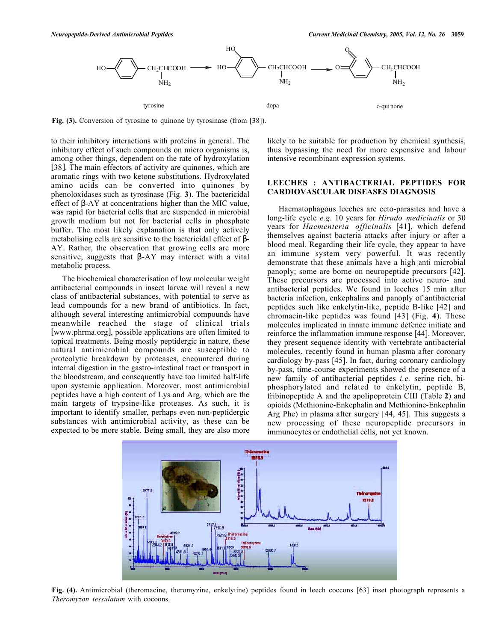

Fig. (3). Conversion of tyrosine to quinone by tyrosinase (from [38]).

to their inhibitory interactions with proteins in general. The inhibitory effect of such compounds on micro organisms is, among other things, dependent on the rate of hydroxylation [38]. The main effectors of activity are quinones, which are aromatic rings with two ketone substitutions. Hydroxylated amino acids can be converted into quinones by phenoloxidases such as tyrosinase (Fig. **3**). The bactericidal effect of β-AY at concentrations higher than the MIC value, was rapid for bacterial cells that are suspended in microbial growth medium but not for bacterial cells in phosphate buffer. The most likely explanation is that only actively metabolising cells are sensitive to the bactericidal effect of β-AY. Rather, the observation that growing cells are more sensitive, suggests that  $\beta$ -AY may interact with a vital metabolic process.

The biochemical characterisation of low molecular weight antibacterial compounds in insect larvae will reveal a new class of antibacterial substances, with potential to serve as lead compounds for a new brand of antibiotics. In fact, although several interesting antimicrobial compounds have meanwhile reached the stage of clinical trials [www.phrma.org], possible applications are often limited to topical treatments. Being mostly peptidergic in nature, these natural antimicrobial compounds are susceptible to proteolytic breakdown by proteases, encountered during internal digestion in the gastro-intestinal tract or transport in the bloodstream, and consequently have too limited half-life upon systemic application. Moreover, most antimicrobial peptides have a high content of Lys and Arg, which are the main targets of trypsine-like proteases. As such, it is important to identify smaller, perhaps even non-peptidergic substances with antimicrobial activity, as these can be expected to be more stable. Being small, they are also more likely to be suitable for production by chemical synthesis, thus bypassing the need for more expensive and labour intensive recombinant expression systems.

# **LEECHES : ANTIBACTERIAL PEPTIDES FOR CARDIOVASCULAR DISEASES DIAGNOSIS**

Haematophagous leeches are ecto-parasites and have a long-life cycle *e.g.* 10 years for *Hirudo medicinalis* or 30 years for *Haementeria officinalis* [41], which defend themselves against bacteria attacks after injury or after a blood meal. Regarding their life cycle, they appear to have an immune system very powerful. It was recently demonstrate that these animals have a high anti microbial panoply; some are borne on neuropeptide precursors [42]. These precursors are processed into active neuro- and antibacterial peptides. We found in leeches 15 min after bacteria infection, enkephalins and panoply of antibacterial peptides such like enkelytin-like, peptide B-like [42] and chromacin-like peptides was found [43] (Fig. **4**). These molecules implicated in innate immune defence initiate and reinforce the inflammation immune response [44]. Moreover, they present sequence identity with vertebrate antibacterial molecules, recently found in human plasma after coronary cardiology by-pass [45]. In fact, during coronary cardiology by-pass, time-course experiments showed the presence of a new family of antibacterial peptides *i.e.* serine rich, biphosphorylated and related to enkelytin, peptide B, fribinopeptide A and the apolipoprotein CIII (Table **2**) and opioids (Methionine-Enkephalin and Methionine-Enkephalin Arg Phe) in plasma after surgery [44, 45]. This suggests a new processing of these neuropeptide precursors in immunocytes or endothelial cells, not yet known.



**Fig. (4).** Antimicrobial (theromacine, theromyzine, enkelytine) peptides found in leech coccons [63] inset photograph represents a *Theromyzon tessulatum* with cocoons.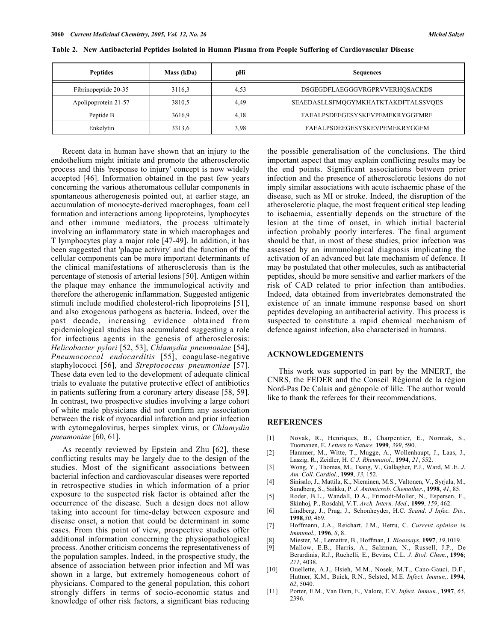| <b>Peptides</b>      | Mass (kDa) | pHi  | <b>Sequences</b>                    |
|----------------------|------------|------|-------------------------------------|
| Fibrinopeptide 20-35 | 3116.3     | 4.53 | DSGEGDFLAEGGGVRGPRVVERHOSACKDS      |
| Apolipoprotein 21-57 | 3810.5     | 4.49 | SEAEDASLLSFMQGYMKHATKTAKDFTALSSVQES |
| Peptide B            | 3616.9     | 4.18 | FAEALPSDEEGESYSKEVPEMEKRYGGFMRF     |
| Enkelytin            | 3313.6     | 3.98 | FAEALPSDEEGESYSKEVPEMEKRYGGFM       |

**Table 2. New Antibacterial Peptides Isolated in Human Plasma from People Suffering of Cardiovascular Disease**

Recent data in human have shown that an injury to the endothelium might initiate and promote the atherosclerotic process and this 'response to injury' concept is now widely accepted [46]. Information obtained in the past few years concerning the various atheromatous cellular components in spontaneous atherogenesis pointed out, at earlier stage, an accumulation of monocyte-derived macrophages, foam cell formation and interactions among lipoproteins, lymphocytes and other immune mediators, the process ultimately involving an inflammatory state in which macrophages and T lymphocytes play a major role [47-49]. In addition, it has been suggested that 'plaque activity' and the function of the cellular components can be more important determinants of the clinical manifestations of atherosclerosis than is the percentage of stenosis of arterial lesions [50]. Antigen within the plaque may enhance the immunological activity and therefore the atherogenic inflammation. Suggested antigenic stimuli include modified cholesterol-rich lipoproteins [51], and also exogenous pathogens as bacteria. Indeed, over the past decade, increasing evidence obtained from epidemiological studies has accumulated suggesting a role for infectious agents in the genesis of atherosclerosis: *Helicobacter pylori* [52, 53], *Chlamydia pneumoniae* [54], *Pneumococcal endocarditis* [55], coagulase-negative staphylococci [56], and *Streptococcus pneumoniae* [57]. These data even led to the development of adequate clinical trials to evaluate the putative protective effect of antibiotics in patients suffering from a coronary artery disease [58, 59]. In contrast, two prospective studies involving a large cohort of white male physicians did not confirm any association between the risk of myocardial infarction and prior infection with cytomegalovirus, herpes simplex virus, or *Chlamydia pneumoniae* [60, 61].

As recently reviewed by Epstein and Zhu [62], these conflicting results may be largely due to the design of the studies. Most of the significant associations between bacterial infection and cardiovascular diseases were reported in retrospective studies in which information of a prior exposure to the suspected risk factor is obtained after the occurrence of the disease. Such a design does not allow taking into account for time-delay between exposure and disease onset, a notion that could be determinant in some cases. From this point of view, prospective studies offer additional information concerning the physiopathological process. Another criticism concerns the representativeness of the population samples. Indeed, in the prospective study, the absence of association between prior infection and MI was shown in a large, but extremely homogeneous cohort of physicians. Compared to the general population, this cohort strongly differs in terms of socio-economic status and knowledge of other risk factors, a significant bias reducing

the possible generalisation of the conclusions. The third important aspect that may explain conflicting results may be the end points. Significant associations between prior infection and the presence of atherosclerotic lesions do not imply similar associations with acute ischaemic phase of the disease, such as MI or stroke. Indeed, the disruption of the atherosclerotic plaque, the most frequent critical step leading to ischaemia, essentially depends on the structure of the lesion at the time of onset, in which initial bacterial infection probably poorly interferes. The final argument should be that, in most of these studies, prior infection was assessed by an immunological diagnosis implicating the activation of an advanced but late mechanism of defence. It may be postulated that other molecules, such as antibacterial peptides, should be more sensitive and earlier markers of the risk of CAD related to prior infection than antibodies. Indeed, data obtained from invertebrates demonstrated the existence of an innate immune response based on short peptides developing an antibacterial activity. This process is suspected to constitute a rapid chemical mechanism of defence against infection, also characterised in humans.

## **ACKNOWLEDGEMENTS**

This work was supported in part by the MNERT, the CNRS, the FEDER and the Conseil Régional de la région Nord-Pas De Calais and génopole of lille. The author would like to thank the referees for their recommendations.

## **REFERENCES**

- [1] Novak, R., Henriques, B., Charpentier, E., Normak, S., Tuomanen, E. *Letters to Nature,* **1999**, *399*, 590.
- [2] Hammer, M., Witte, T., Mugge, A., Wollenhaupt, J., Laas, J., Laszig, R., Zeidler, H. *C J. Rheumatol*., **1994**, *21*, 552.
- [3] Wong, Y., Thomas, M., Tsang, V., Gallagher, P.J., Ward, M .E. *J. Am. Coll. Cardiol*., **1999**, *33*, 152.
- [4] Sinisalo, J., Mattila, K., Nieminen, M.S., Valtonen, V., Syrjala, M., Sundberg, S., Saikku, P. *J. Antimicrob. Chemother*., **1998**, *41*, 85.
- [5] Roder, B.L., Wandall, D.A., Frimodt-Moller, N., Espersen, F., Skinhoj, P., Rosdahl, V.T. *Arch. Intern. Med.,* **1999**, *159*, 462.
- [6] Lindberg, J., Prag, J., Schonheyder, H.C. *Scand. J Infec. Dis.,* **1998**,*30*, 469.
- [7] Hoffmann, J.A., Reichart, J.M., Hetru, C. *Current opinion in Immunol.,* **1996**, *8*, 8.
- [8] Miester, M., Lemaitre, B., Hoffman, J. *Bioassays*, **1997**, *19*,1019.
- Mallow, E.B., Harris, A., Salzman, N., Russell, J.P., De Berardinis, R.J., Ruchelli, E., Bevins, C.L. *J. Biol. Chem.*, **1996**; *271*, 4038.
- [10] Ouellette, A.J., Hsieh, M.M., Nosek, M.T., Cano-Gauci, D.F., Huttner, K.M., Buick, R.N., Selsted, M.E. *Infect. Immun.,* **1994**, *62*, 5040.
- [11] Porter, E.M., Van Dam, E., Valore, E.V. *Infect. Immun*., **1997**, *65*, 2396.